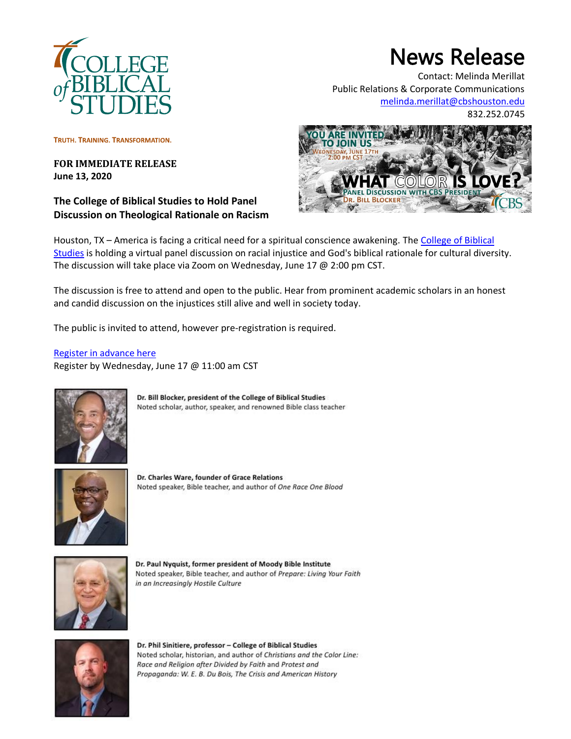

## News Release

Contact: Melinda Merillat Public Relations & Corporate Communications [melinda.merillat@cbshouston.edu](mailto:melinda.merillat@cbshouston.edu)

832.252.0745

TRUTH. TRAINING. TRANSFORMATION.

## **FOR IMMEDIATE RELEASE June 13, 2020**

**The College of Biblical Studies to Hold Panel Discussion on Theological Rationale on Racism**



Houston, TX – America is facing a critical need for a spiritual conscience awakening. The [College of Biblical](http://www.cbshouston.edu/)  [Studies](http://www.cbshouston.edu/) is holding a virtual panel discussion on racial injustice and God's biblical rationale for cultural diversity. The discussion will take place via Zoom on Wednesday, June 17 @ 2:00 pm CST.

The discussion is free to attend and open to the public. Hear from prominent academic scholars in an honest and candid discussion on the injustices still alive and well in society today.

The public is invited to attend, however pre-registration is required.

[Register in advance here](https://us02web.zoom.us/webinar/register/WN_INJhJN1tTEWhUWYfDhstPA) Register by Wednesday, June 17 @ 11:00 am CST



Dr. Bill Blocker, president of the College of Biblical Studies Noted scholar, author, speaker, and renowned Bible class teacher



Dr. Charles Ware, founder of Grace Relations Noted speaker, Bible teacher, and author of One Race One Blood



Dr. Paul Nyquist, former president of Moody Bible Institute Noted speaker, Bible teacher, and author of Prepare: Living Your Faith in an Increasingly Hostile Culture



Dr. Phil Sinitiere, professor - College of Biblical Studies Noted scholar, historian, and author of Christians and the Color Line: Race and Religion after Divided by Faith and Protest and Propaganda: W. E. B. Du Bois, The Crisis and American History